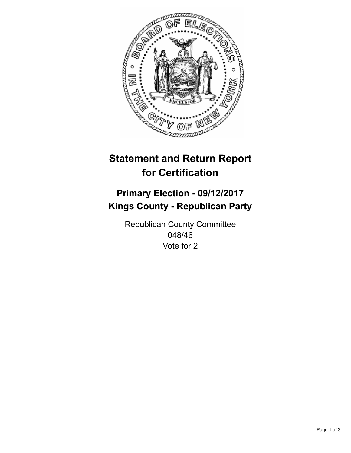

## **Statement and Return Report for Certification**

## **Primary Election - 09/12/2017 Kings County - Republican Party**

Republican County Committee 048/46 Vote for 2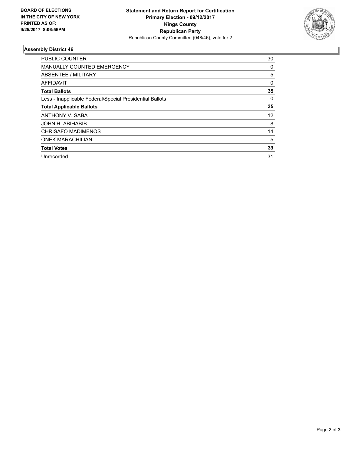

## **Assembly District 46**

| <b>PUBLIC COUNTER</b>                                    | 30       |
|----------------------------------------------------------|----------|
| <b>MANUALLY COUNTED EMERGENCY</b>                        | 0        |
| ABSENTEE / MILITARY                                      | 5        |
| AFFIDAVIT                                                | $\Omega$ |
| <b>Total Ballots</b>                                     | 35       |
| Less - Inapplicable Federal/Special Presidential Ballots | 0        |
| <b>Total Applicable Ballots</b>                          | 35       |
| ANTHONY V. SABA                                          | 12       |
| JOHN H. ABIHABIB                                         | 8        |
| <b>CHRISAFO MADIMENOS</b>                                | 14       |
| <b>ONEK MARACHILIAN</b>                                  | 5        |
| <b>Total Votes</b>                                       | 39       |
| Unrecorded                                               | 31       |